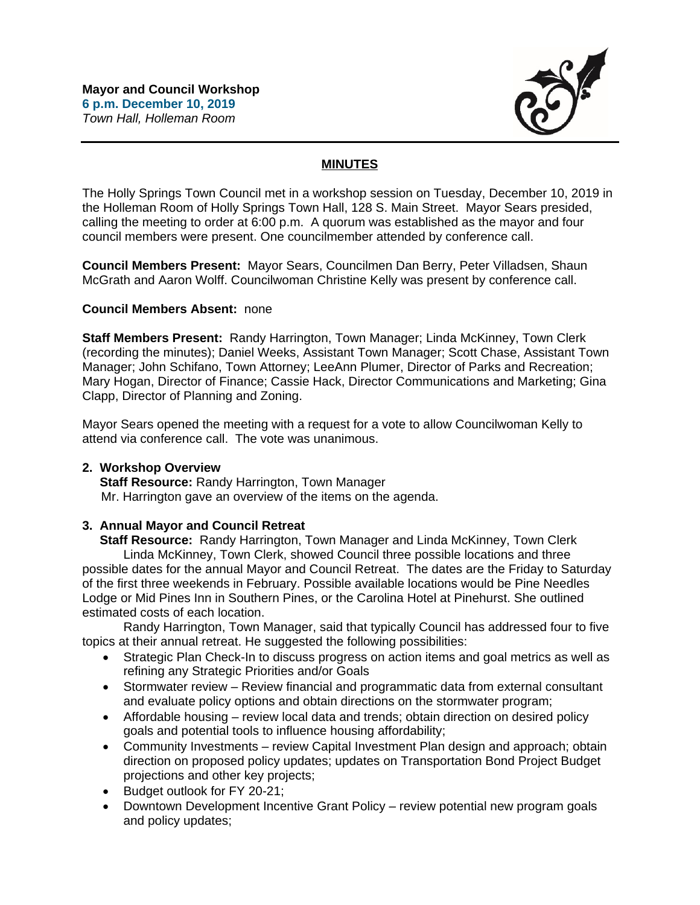

# **MINUTES**

The Holly Springs Town Council met in a workshop session on Tuesday, December 10, 2019 in the Holleman Room of Holly Springs Town Hall, 128 S. Main Street. Mayor Sears presided, calling the meeting to order at 6:00 p.m. A quorum was established as the mayor and four council members were present. One councilmember attended by conference call.

**Council Members Present:** Mayor Sears, Councilmen Dan Berry, Peter Villadsen, Shaun McGrath and Aaron Wolff. Councilwoman Christine Kelly was present by conference call.

## **Council Members Absent:** none

**Staff Members Present:** Randy Harrington, Town Manager; Linda McKinney, Town Clerk (recording the minutes); Daniel Weeks, Assistant Town Manager; Scott Chase, Assistant Town Manager; John Schifano, Town Attorney; LeeAnn Plumer, Director of Parks and Recreation; Mary Hogan, Director of Finance; Cassie Hack, Director Communications and Marketing; Gina Clapp, Director of Planning and Zoning.

Mayor Sears opened the meeting with a request for a vote to allow Councilwoman Kelly to attend via conference call. The vote was unanimous.

### **2. Workshop Overview**

 **Staff Resource:** Randy Harrington, Town Manager Mr. Harrington gave an overview of the items on the agenda.

## **3. Annual Mayor and Council Retreat**

 **Staff Resource:** Randy Harrington, Town Manager and Linda McKinney, Town Clerk Linda McKinney, Town Clerk, showed Council three possible locations and three possible dates for the annual Mayor and Council Retreat. The dates are the Friday to Saturday of the first three weekends in February. Possible available locations would be Pine Needles Lodge or Mid Pines Inn in Southern Pines, or the Carolina Hotel at Pinehurst. She outlined estimated costs of each location.

Randy Harrington, Town Manager, said that typically Council has addressed four to five topics at their annual retreat. He suggested the following possibilities:

- Strategic Plan Check-In to discuss progress on action items and goal metrics as well as refining any Strategic Priorities and/or Goals
- Stormwater review Review financial and programmatic data from external consultant and evaluate policy options and obtain directions on the stormwater program;
- Affordable housing review local data and trends; obtain direction on desired policy goals and potential tools to influence housing affordability;
- Community Investments review Capital Investment Plan design and approach; obtain direction on proposed policy updates; updates on Transportation Bond Project Budget projections and other key projects;
- Budget outlook for FY 20-21;
- Downtown Development Incentive Grant Policy review potential new program goals and policy updates;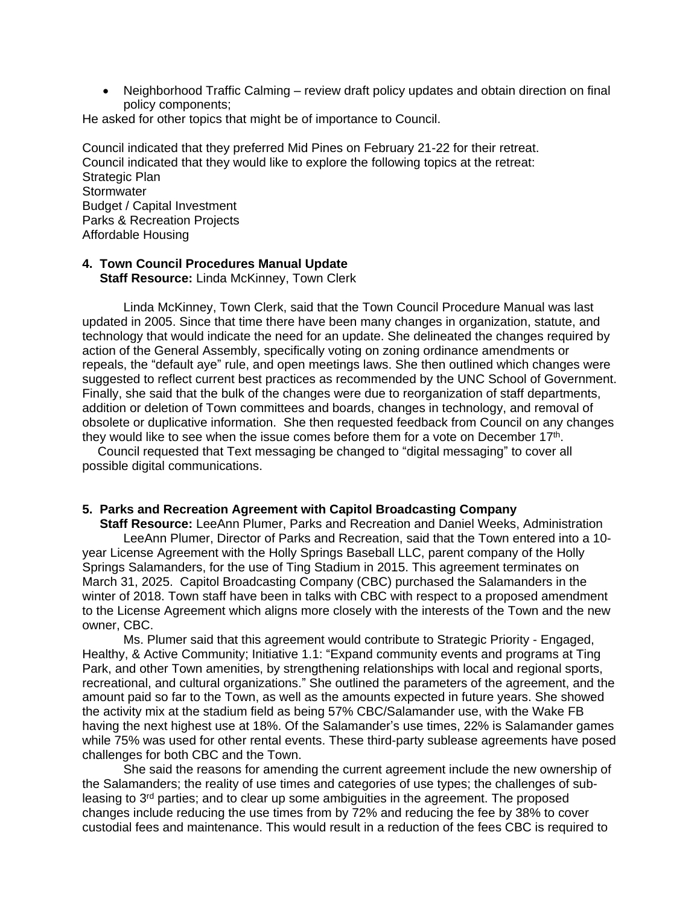• Neighborhood Traffic Calming – review draft policy updates and obtain direction on final policy components;

He asked for other topics that might be of importance to Council.

Council indicated that they preferred Mid Pines on February 21-22 for their retreat. Council indicated that they would like to explore the following topics at the retreat: Strategic Plan **Stormwater** Budget / Capital Investment Parks & Recreation Projects Affordable Housing

# **4. Town Council Procedures Manual Update**

 **Staff Resource:** Linda McKinney, Town Clerk

Linda McKinney, Town Clerk, said that the Town Council Procedure Manual was last updated in 2005. Since that time there have been many changes in organization, statute, and technology that would indicate the need for an update. She delineated the changes required by action of the General Assembly, specifically voting on zoning ordinance amendments or repeals, the "default aye" rule, and open meetings laws. She then outlined which changes were suggested to reflect current best practices as recommended by the UNC School of Government. Finally, she said that the bulk of the changes were due to reorganization of staff departments, addition or deletion of Town committees and boards, changes in technology, and removal of obsolete or duplicative information. She then requested feedback from Council on any changes they would like to see when the issue comes before them for a vote on December 17<sup>th</sup>.

Council requested that Text messaging be changed to "digital messaging" to cover all possible digital communications.

## **5. Parks and Recreation Agreement with Capitol Broadcasting Company**

 **Staff Resource:** LeeAnn Plumer, Parks and Recreation and Daniel Weeks, Administration LeeAnn Plumer, Director of Parks and Recreation, said that the Town entered into a 10 year License Agreement with the Holly Springs Baseball LLC, parent company of the Holly Springs Salamanders, for the use of Ting Stadium in 2015. This agreement terminates on March 31, 2025. Capitol Broadcasting Company (CBC) purchased the Salamanders in the winter of 2018. Town staff have been in talks with CBC with respect to a proposed amendment to the License Agreement which aligns more closely with the interests of the Town and the new owner, CBC.

Ms. Plumer said that this agreement would contribute to Strategic Priority - Engaged, Healthy, & Active Community; Initiative 1.1: "Expand community events and programs at Ting Park, and other Town amenities, by strengthening relationships with local and regional sports, recreational, and cultural organizations." She outlined the parameters of the agreement, and the amount paid so far to the Town, as well as the amounts expected in future years. She showed the activity mix at the stadium field as being 57% CBC/Salamander use, with the Wake FB having the next highest use at 18%. Of the Salamander's use times, 22% is Salamander games while 75% was used for other rental events. These third-party sublease agreements have posed challenges for both CBC and the Town.

She said the reasons for amending the current agreement include the new ownership of the Salamanders; the reality of use times and categories of use types; the challenges of subleasing to 3rd parties; and to clear up some ambiguities in the agreement. The proposed changes include reducing the use times from by 72% and reducing the fee by 38% to cover custodial fees and maintenance. This would result in a reduction of the fees CBC is required to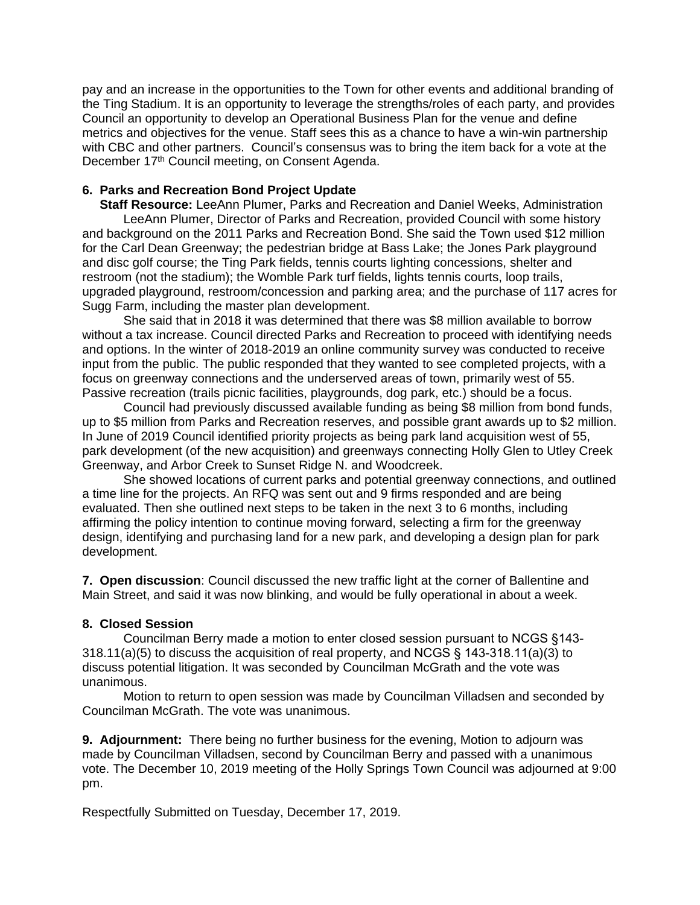pay and an increase in the opportunities to the Town for other events and additional branding of the Ting Stadium. It is an opportunity to leverage the strengths/roles of each party, and provides Council an opportunity to develop an Operational Business Plan for the venue and define metrics and objectives for the venue. Staff sees this as a chance to have a win-win partnership with CBC and other partners. Council's consensus was to bring the item back for a vote at the December 17<sup>th</sup> Council meeting, on Consent Agenda.

## **6. Parks and Recreation Bond Project Update**

 **Staff Resource:** LeeAnn Plumer, Parks and Recreation and Daniel Weeks, Administration LeeAnn Plumer, Director of Parks and Recreation, provided Council with some history and background on the 2011 Parks and Recreation Bond. She said the Town used \$12 million for the Carl Dean Greenway; the pedestrian bridge at Bass Lake; the Jones Park playground and disc golf course; the Ting Park fields, tennis courts lighting concessions, shelter and restroom (not the stadium); the Womble Park turf fields, lights tennis courts, loop trails, upgraded playground, restroom/concession and parking area; and the purchase of 117 acres for Sugg Farm, including the master plan development.

She said that in 2018 it was determined that there was \$8 million available to borrow without a tax increase. Council directed Parks and Recreation to proceed with identifying needs and options. In the winter of 2018-2019 an online community survey was conducted to receive input from the public. The public responded that they wanted to see completed projects, with a focus on greenway connections and the underserved areas of town, primarily west of 55. Passive recreation (trails picnic facilities, playgrounds, dog park, etc.) should be a focus.

Council had previously discussed available funding as being \$8 million from bond funds, up to \$5 million from Parks and Recreation reserves, and possible grant awards up to \$2 million. In June of 2019 Council identified priority projects as being park land acquisition west of 55, park development (of the new acquisition) and greenways connecting Holly Glen to Utley Creek Greenway, and Arbor Creek to Sunset Ridge N. and Woodcreek.

She showed locations of current parks and potential greenway connections, and outlined a time line for the projects. An RFQ was sent out and 9 firms responded and are being evaluated. Then she outlined next steps to be taken in the next 3 to 6 months, including affirming the policy intention to continue moving forward, selecting a firm for the greenway design, identifying and purchasing land for a new park, and developing a design plan for park development.

**7. Open discussion**: Council discussed the new traffic light at the corner of Ballentine and Main Street, and said it was now blinking, and would be fully operational in about a week.

### **8. Closed Session**

Councilman Berry made a motion to enter closed session pursuant to NCGS §143- 318.11(a)(5) to discuss the acquisition of real property, and NCGS § 143-318.11(a)(3) to discuss potential litigation. It was seconded by Councilman McGrath and the vote was unanimous.

Motion to return to open session was made by Councilman Villadsen and seconded by Councilman McGrath. The vote was unanimous.

**9. Adjournment:** There being no further business for the evening, Motion to adjourn was made by Councilman Villadsen, second by Councilman Berry and passed with a unanimous vote. The December 10, 2019 meeting of the Holly Springs Town Council was adjourned at 9:00 pm.

Respectfully Submitted on Tuesday, December 17, 2019.